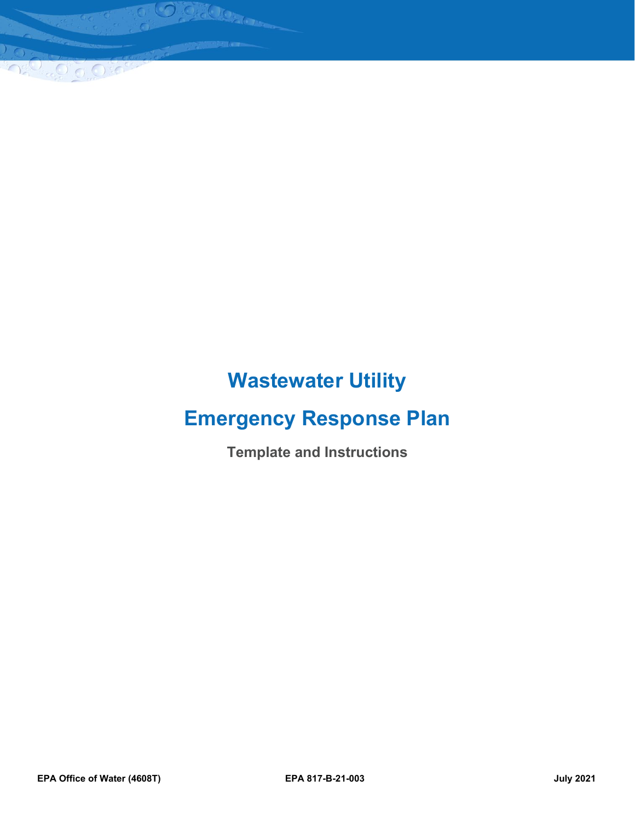

Oea

 $\sqrt{2}$ 

# **Emergency Response Plan**

**Template and Instructions**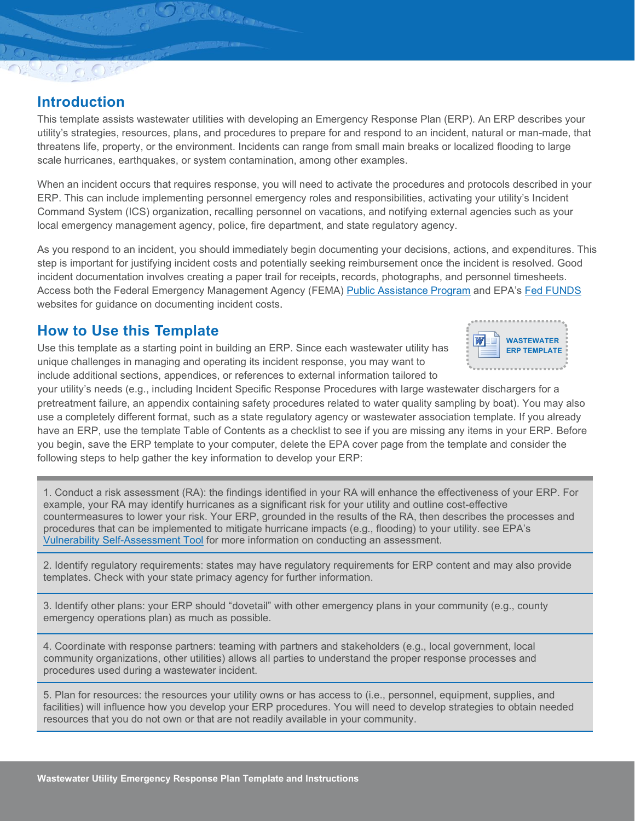# **Introduction**

 $-0.0$ 

This template assists wastewater utilities with developing an Emergency Response Plan (ERP). An ERP describes your utility's strategies, resources, plans, and procedures to prepare for and respond to an incident, natural or man-made, that threatens life, property, or the environment. Incidents can range from small main breaks or localized flooding to large scale hurricanes, earthquakes, or system contamination, among other examples.

When an incident occurs that requires response, you will need to activate the procedures and protocols described in your ERP. This can include implementing personnel emergency roles and responsibilities, activating your utility's Incident Command System (ICS) organization, recalling personnel on vacations, and notifying external agencies such as your local emergency management agency, police, fire department, and state regulatory agency.

As you respond to an incident, you should immediately begin documenting your decisions, actions, and expenditures. This step is important for justifying incident costs and potentially seeking reimbursement once the incident is resolved. Good incident documentation involves creating a paper trail for receipts, records, photographs, and personnel timesheets. Access both the Federal Emergency Management Agency (FEMA) [Public Assistance Program](https://www.fema.gov/public-assistance-local-state-tribal-and-non-profit) and EPA's [Fed FUNDS](https://www.epa.gov/fedfunds) websites for quidance on documenting incident costs.

# **How to Use this Template**

Use this template as a starting point in building an ERP. Since each wastewater utility has unique challenges in managing and operating its incident response, you may want to include additional sections, appendices, or references to external information tailored to

Part Clean

your utility's needs (e.g., including Incident Specific Response Procedures with large wastewater dischargers for a pretreatment failure, an appendix containing safety procedures related to water quality sampling by boat). You may also use a completely different format, such as a state regulatory agency or wastewater association template. If you already have an ERP, use the template Table of Contents as a checklist to see if you are missing any items in your ERP. Before you begin, save the ERP template to your computer, delete the EPA cover page from the template and consider the following steps to help gather the key information to develop your ERP:

1. Conduct a risk assessment (RA): the findings identified in your RA will enhance the effectiveness of your ERP. For example, your RA may identify hurricanes as a significant risk for your utility and outline cost-effective countermeasures to lower your risk. Your ERP, grounded in the results of the RA, then describes the processes and procedures that can be implemented to mitigate hurricane impacts (e.g., flooding) to your utility. see EPA's [Vulnerability Self-Assessment Tool](https://vsat.epa.gov/vsat/) for more information on conducting an assessment.

2. Identify regulatory requirements: states may have regulatory requirements for ERP content and may also provide templates. Check with your state primacy agency for further information.

3. Identify other plans: your ERP should "dovetail" with other emergency plans in your community (e.g., county emergency operations plan) as much as possible.

4. Coordinate with response partners: teaming with partners and stakeholders (e.g., local government, local community organizations, other utilities) allows all parties to understand the proper response processes and procedures used during a wastewater incident.

5. Plan for resources: the resources your utility owns or has access to (i.e., personnel, equipment, supplies, and facilities) will influence how you develop your ERP procedures. You will need to develop strategies to obtain needed resources that you do not own or that are not readily available in your community.

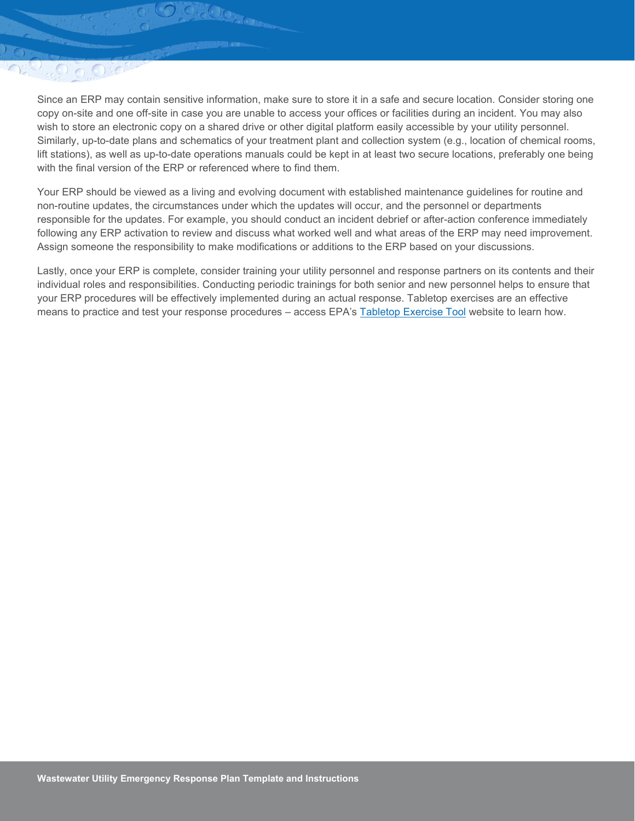Since an ERP may contain sensitive information, make sure to store it in a safe and secure location. Consider storing one copy on-site and one off-site in case you are unable to access your offices or facilities during an incident. You may also wish to store an electronic copy on a shared drive or other digital platform easily accessible by your utility personnel. Similarly, up-to-date plans and schematics of your treatment plant and collection system (e.g., location of chemical rooms, lift stations), as well as up-to-date operations manuals could be kept in at least two secure locations, preferably one being with the final version of the ERP or referenced where to find them.

**ACCEL** 

 $O$  o  $O$  o

Your ERP should be viewed as a living and evolving document with established maintenance guidelines for routine and non-routine updates, the circumstances under which the updates will occur, and the personnel or departments responsible for the updates. For example, you should conduct an incident debrief or after-action conference immediately following any ERP activation to review and discuss what worked well and what areas of the ERP may need improvement. Assign someone the responsibility to make modifications or additions to the ERP based on your discussions.

Lastly, once your ERP is complete, consider training your utility personnel and response partners on its contents and their individual roles and responsibilities. Conducting periodic trainings for both senior and new personnel helps to ensure that your ERP procedures will be effectively implemented during an actual response. Tabletop exercises are an effective means to practice and test your response procedures – access EPA's [Tabletop Exercise Tool](https://www.epa.gov/waterresiliencetraining/develop-and-conduct-water-resilience-tabletop-exercise-water-utilities) website to learn how.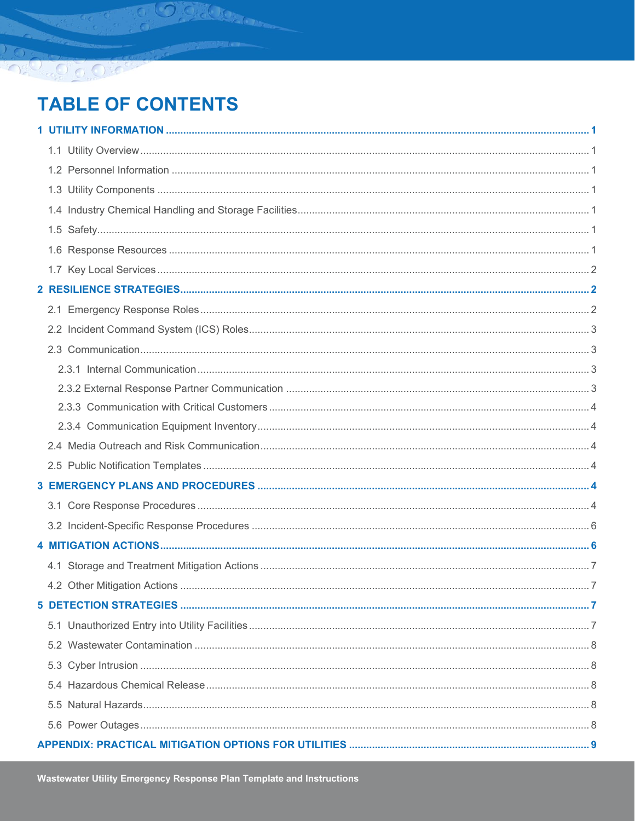# **TABLE OF CONTENTS**

 $\Gamma$ 

**COCK**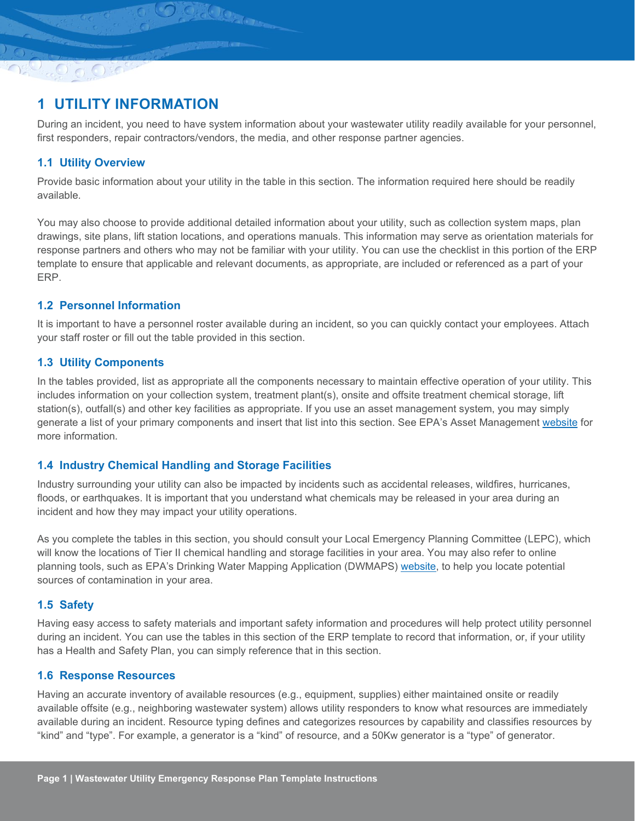# <span id="page-4-0"></span>**1 UTILITY INFORMATION**

During an incident, you need to have system information about your wastewater utility readily available for your personnel, first responders, repair contractors/vendors, the media, and other response partner agencies.

**ROCKET** 

## <span id="page-4-1"></span>**1.1 Utility Overview**

 $O_0$   $O_3$ 

Provide basic information about your utility in the table in this section. The information required here should be readily available.

You may also choose to provide additional detailed information about your utility, such as collection system maps, plan drawings, site plans, lift station locations, and operations manuals. This information may serve as orientation materials for response partners and others who may not be familiar with your utility. You can use the checklist in this portion of the ERP template to ensure that applicable and relevant documents, as appropriate, are included or referenced as a part of your ERP.

### <span id="page-4-2"></span>**1.2 Personnel Information**

It is important to have a personnel roster available during an incident, so you can quickly contact your employees. Attach your staff roster or fill out the table provided in this section.

### <span id="page-4-3"></span>**1.3 Utility Components**

In the tables provided, list as appropriate all the components necessary to maintain effective operation of your utility. This includes information on your collection system, treatment plant(s), onsite and offsite treatment chemical storage, lift station(s), outfall(s) and other key facilities as appropriate. If you use an asset management system, you may simply generate a list of your primary components and insert that list into this section. See EPA's Asset Management [website](https://www.epa.gov/sustainable-water-infrastructure/asset-management-water-and-wastewater-utilities) for more information.

# <span id="page-4-4"></span>**1.4 Industry Chemical Handling and Storage Facilities**

Industry surrounding your utility can also be impacted by incidents such as accidental releases, wildfires, hurricanes, floods, or earthquakes. It is important that you understand what chemicals may be released in your area during an incident and how they may impact your utility operations.

As you complete the tables in this section, you should consult your Local Emergency Planning Committee (LEPC), which will know the locations of Tier II chemical handling and storage facilities in your area. You may also refer to online planning tools, such as EPA's Drinking Water Mapping Application (DWMAPS) [website,](https://www.epa.gov/sourcewaterprotection/drinking-water-mapping-application-protect-source-waters-dwmaps) to help you locate potential sources of contamination in your area.

# <span id="page-4-5"></span>**1.5 Safety**

Having easy access to safety materials and important safety information and procedures will help protect utility personnel during an incident. You can use the tables in this section of the ERP template to record that information, or, if your utility has a Health and Safety Plan, you can simply reference that in this section.

### <span id="page-4-6"></span>**1.6 Response Resources**

Having an accurate inventory of available resources (e.g., equipment, supplies) either maintained onsite or readily available offsite (e.g., neighboring wastewater system) allows utility responders to know what resources are immediately available during an incident. Resource typing defines and categorizes resources by capability and classifies resources by "kind" and "type". For example, a generator is a "kind" of resource, and a 50Kw generator is a "type" of generator.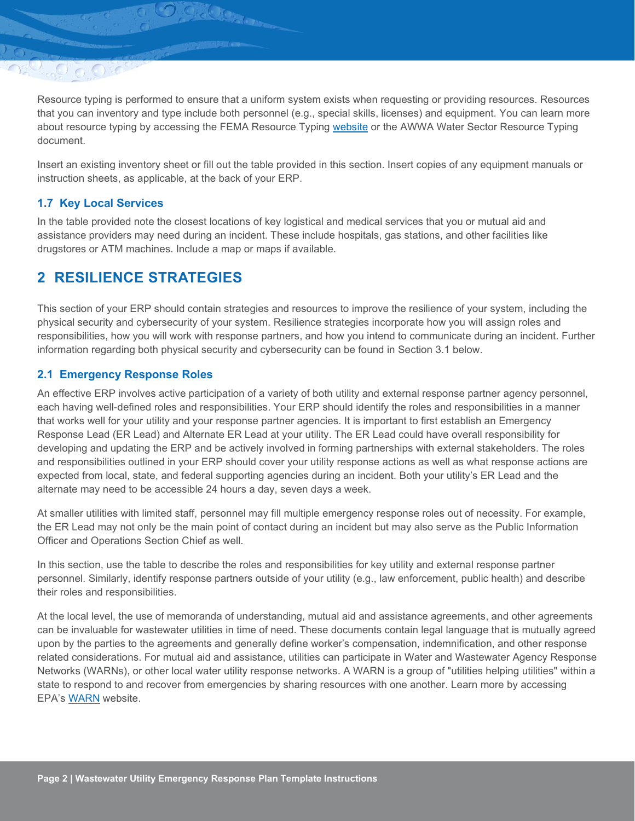Resource typing is performed to ensure that a uniform system exists when requesting or providing resources. Resources that you can inventory and type include both personnel (e.g., special skills, licenses) and equipment. You can learn more about resource typing by accessing the FEMA Resource Typing [website](https://www.fema.gov/resource-management-mutual-aid) or the AWWA Water Sector Resource Typing document.

The Clean Company

Insert an existing inventory sheet or fill out the table provided in this section. Insert copies of any equipment manuals or instruction sheets, as applicable, at the back of your ERP.

### <span id="page-5-0"></span>**1.7 Key Local Services**

 $\mathbf{O} \cap \mathbf{O}$  so

In the table provided note the closest locations of key logistical and medical services that you or mutual aid and assistance providers may need during an incident. These include hospitals, gas stations, and other facilities like drugstores or ATM machines. Include a map or maps if available.

# <span id="page-5-1"></span>**2 RESILIENCE STRATEGIES**

This section of your ERP should contain strategies and resources to improve the resilience of your system, including the physical security and cybersecurity of your system. Resilience strategies incorporate how you will assign roles and responsibilities, how you will work with response partners, and how you intend to communicate during an incident. Further information regarding both physical security and cybersecurity can be found in Section 3.1 below.

### <span id="page-5-2"></span>**2.1 Emergency Response Roles**

An effective ERP involves active participation of a variety of both utility and external response partner agency personnel, each having well-defined roles and responsibilities. Your ERP should identify the roles and responsibilities in a manner that works well for your utility and your response partner agencies. It is important to first establish an Emergency Response Lead (ER Lead) and Alternate ER Lead at your utility. The ER Lead could have overall responsibility for developing and updating the ERP and be actively involved in forming partnerships with external stakeholders. The roles and responsibilities outlined in your ERP should cover your utility response actions as well as what response actions are expected from local, state, and federal supporting agencies during an incident. Both your utility's ER Lead and the alternate may need to be accessible 24 hours a day, seven days a week.

At smaller utilities with limited staff, personnel may fill multiple emergency response roles out of necessity. For example, the ER Lead may not only be the main point of contact during an incident but may also serve as the Public Information Officer and Operations Section Chief as well.

In this section, use the table to describe the roles and responsibilities for key utility and external response partner personnel. Similarly, identify response partners outside of your utility (e.g., law enforcement, public health) and describe their roles and responsibilities.

At the local level, the use of memoranda of understanding, mutual aid and assistance agreements, and other agreements can be invaluable for wastewater utilities in time of need. These documents contain legal language that is mutually agreed upon by the parties to the agreements and generally define worker's compensation, indemnification, and other response related considerations. For mutual aid and assistance, utilities can participate in Water and Wastewater Agency Response Networks (WARNs), or other local water utility response networks. A WARN is a group of "utilities helping utilities" within a state to respond to and recover from emergencies by sharing resources with one another. Learn more by accessing EPA's [WARN](https://www.epa.gov/waterutilityresponse/mutual-aid-and-assistance-drinking-water-and-wastewater-utilities) website.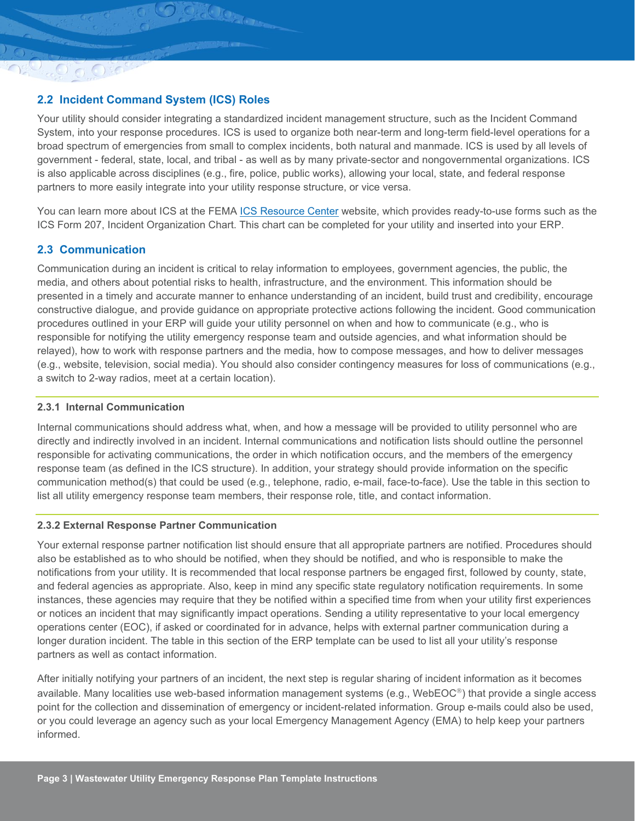# <span id="page-6-0"></span>**2.2 Incident Command System (ICS) Roles**

Odolog Land

Your utility should consider integrating a standardized incident management structure, such as the Incident Command System, into your response procedures. ICS is used to organize both near-term and long-term field-level operations for a broad spectrum of emergencies from small to complex incidents, both natural and manmade. ICS is used by all levels of government - federal, state, local, and tribal - as well as by many private-sector and nongovernmental organizations. ICS is also applicable across disciplines (e.g., fire, police, public works), allowing your local, state, and federal response partners to more easily integrate into your utility response structure, or vice versa.

You can learn more about ICS at the FEMA [ICS Resource Center](https://training.fema.gov/emiweb/is/icsresource/index.htm) website, which provides ready-to-use forms such as the ICS Form 207, Incident Organization Chart. This chart can be completed for your utility and inserted into your ERP.

### <span id="page-6-1"></span>**2.3 Communication**

 $-0.0$ 

Communication during an incident is critical to relay information to employees, government agencies, the public, the media, and others about potential risks to health, infrastructure, and the environment. This information should be presented in a timely and accurate manner to enhance understanding of an incident, build trust and credibility, encourage constructive dialogue, and provide guidance on appropriate protective actions following the incident. Good communication procedures outlined in your ERP will guide your utility personnel on when and how to communicate (e.g., who is responsible for notifying the utility emergency response team and outside agencies, and what information should be relayed), how to work with response partners and the media, how to compose messages, and how to deliver messages (e.g., website, television, social media). You should also consider contingency measures for loss of communications (e.g., a switch to 2-way radios, meet at a certain location).

### <span id="page-6-2"></span>**2.3.1 Internal Communication**

Internal communications should address what, when, and how a message will be provided to utility personnel who are directly and indirectly involved in an incident. Internal communications and notification lists should outline the personnel responsible for activating communications, the order in which notification occurs, and the members of the emergency response team (as defined in the ICS structure). In addition, your strategy should provide information on the specific communication method(s) that could be used (e.g., telephone, radio, e-mail, face-to-face). Use the table in this section to list all utility emergency response team members, their response role, title, and contact information.

### <span id="page-6-3"></span>**2.3.2 External Response Partner Communication**

Your external response partner notification list should ensure that all appropriate partners are notified. Procedures should also be established as to who should be notified, when they should be notified, and who is responsible to make the notifications from your utility. It is recommended that local response partners be engaged first, followed by county, state, and federal agencies as appropriate. Also, keep in mind any specific state regulatory notification requirements. In some instances, these agencies may require that they be notified within a specified time from when your utility first experiences or notices an incident that may significantly impact operations. Sending a utility representative to your local emergency operations center (EOC), if asked or coordinated for in advance, helps with external partner communication during a longer duration incident. The table in this section of the ERP template can be used to list all your utility's response partners as well as contact information.

After initially notifying your partners of an incident, the next step is regular sharing of incident information as it becomes available. Many localities use web-based information management systems (e.g., WebEOC<sup>®</sup>) that provide a single access point for the collection and dissemination of emergency or incident-related information. Group e-mails could also be used, or you could leverage an agency such as your local Emergency Management Agency (EMA) to help keep your partners informed.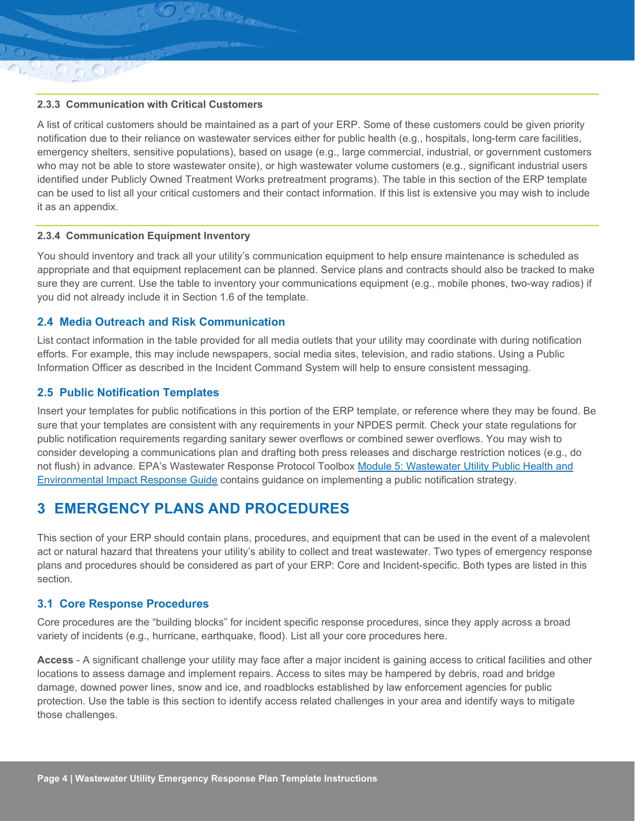### <span id="page-7-0"></span>**2.3.3 Communication with Critical Customers**

 $\circ$  o  $\circ$ 

The Clergy Court

A list of critical customers should be maintained as a part of your ERP. Some of these customers could be given priority notification due to their reliance on wastewater services either for public health (e.g., hospitals, long-term care facilities, emergency shelters, sensitive populations), based on usage (e.g., large commercial, industrial, or government customers who may not be able to store wastewater onsite), or high wastewater volume customers (e.g., significant industrial users identified under Publicly Owned Treatment Works pretreatment programs). The table in this section of the ERP template can be used to list all your critical customers and their contact information. If this list is extensive you may wish to include it as an appendix.

### <span id="page-7-1"></span>**2.3.4 Communication Equipment Inventory**

You should inventory and track all your utility's communication equipment to help ensure maintenance is scheduled as appropriate and that equipment replacement can be planned. Service plans and contracts should also be tracked to make sure they are current. Use the table to inventory your communications equipment (e.g., mobile phones, two-way radios) if you did not already include it in Section 1.6 of the template.

### <span id="page-7-2"></span>**2.4 Media Outreach and Risk Communication**

List contact information in the table provided for all media outlets that your utility may coordinate with during notification efforts. For example, this may include newspapers, social media sites, television, and radio stations. Using a Public Information Officer as described in the Incident Command System will help to ensure consistent messaging.

### <span id="page-7-3"></span>**2.5 Public Notification Templates**

Insert your templates for public notifications in this portion of the ERP template, or reference where they may be found. Be sure that your templates are consistent with any requirements in your NPDES permit. Check your state regulations for public notification requirements regarding sanitary sewer overflows or combined sewer overflows. You may wish to consider developing a communications plan and drafting both press releases and discharge restriction notices (e.g., do not flush) in advance. EPA's Wastewater Response Protocol Toolbox [Module 5: Wastewater Utility Public Health and](https://www.epa.gov/waterutilityresponse/module-5-wastewater-utility-public-health-and-environmental-impact-response)  [Environmental Impact Response Guide](https://www.epa.gov/waterutilityresponse/module-5-wastewater-utility-public-health-and-environmental-impact-response) contains guidance on implementing a public notification strategy.

# <span id="page-7-4"></span>**3 EMERGENCY PLANS AND PROCEDURES**

This section of your ERP should contain plans, procedures, and equipment that can be used in the event of a malevolent act or natural hazard that threatens your utility's ability to collect and treat wastewater. Two types of emergency response plans and procedures should be considered as part of your ERP: Core and Incident-specific. Both types are listed in this section.

### <span id="page-7-5"></span>**3.1 Core Response Procedures**

Core procedures are the "building blocks" for incident specific response procedures, since they apply across a broad variety of incidents (e.g., hurricane, earthquake, flood). List all your core procedures here.

**Access** - A significant challenge your utility may face after a major incident is gaining access to critical facilities and other locations to assess damage and implement repairs. Access to sites may be hampered by debris, road and bridge damage, downed power lines, snow and ice, and roadblocks established by law enforcement agencies for public protection. Use the table is this section to identify access related challenges in your area and identify ways to mitigate those challenges.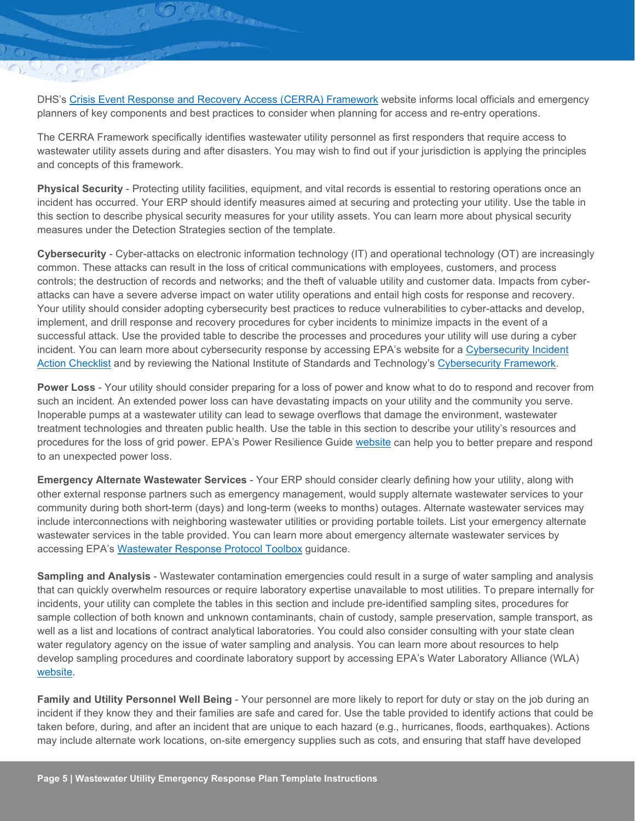DHS's [Crisis Event Response and Recovery Access \(CERRA\) Framework](https://www.dhs.gov/publication/crisis-event-response-and-recovery-access) website informs local officials and emergency planners of key components and best practices to consider when planning for access and re-entry operations.

Odolog Land

 $\sim$  0 0 0  $\sim$ 

The CERRA Framework specifically identifies wastewater utility personnel as first responders that require access to wastewater utility assets during and after disasters. You may wish to find out if your jurisdiction is applying the principles and concepts of this framework.

**Physical Security** - Protecting utility facilities, equipment, and vital records is essential to restoring operations once an incident has occurred. Your ERP should identify measures aimed at securing and protecting your utility. Use the table in this section to describe physical security measures for your utility assets. You can learn more about physical security measures under the Detection Strategies section of the template.

**Cybersecurity** - Cyber-attacks on electronic information technology (IT) and operational technology (OT) are increasingly common. These attacks can result in the loss of critical communications with employees, customers, and process controls; the destruction of records and networks; and the theft of valuable utility and customer data. Impacts from cyberattacks can have a severe adverse impact on water utility operations and entail high costs for response and recovery. Your utility should consider adopting cybersecurity best practices to reduce vulnerabilities to cyber-attacks and develop, implement, and drill response and recovery procedures for cyber incidents to minimize impacts in the event of a successful attack. Use the provided table to describe the processes and procedures your utility will use during a cyber incident. You can learn more about cybersecurity response by accessing EPA's website for a [Cybersecurity Incident](https://www.epa.gov/waterutilityresponse/incident-action-checklists-water-utilities)  [Action Checklist](https://www.epa.gov/waterutilityresponse/incident-action-checklists-water-utilities) and by reviewing the National Institute of Standards and Technology's [Cybersecurity Framework.](https://www.nist.gov/cyberframework)

**Power Loss** - Your utility should consider preparing for a loss of power and know what to do to respond and recover from such an incident. An extended power loss can have devastating impacts on your utility and the community you serve. Inoperable pumps at a wastewater utility can lead to sewage overflows that damage the environment, wastewater treatment technologies and threaten public health. Use the table in this section to describe your utility's resources and procedures for the loss of grid power. EPA's Power Resilience Guide [website](https://www.epa.gov/communitywaterresilience/power-resilience-guide-water-and-wastewater-utilities) can help you to better prepare and respond to an unexpected power loss.

**Emergency Alternate Wastewater Services** - Your ERP should consider clearly defining how your utility, along with other external response partners such as emergency management, would supply alternate wastewater services to your community during both short-term (days) and long-term (weeks to months) outages. Alternate wastewater services may include interconnections with neighboring wastewater utilities or providing portable toilets. List your emergency alternate wastewater services in the table provided. You can learn more about emergency alternate wastewater services by accessing EPA's [Wastewater Response Protocol Toolbox](https://www.epa.gov/waterutilityresponse/drinking-water-and-wastewater-utility-response-protocol-toolbox) guidance.

**Sampling and Analysis** - Wastewater contamination emergencies could result in a surge of water sampling and analysis that can quickly overwhelm resources or require laboratory expertise unavailable to most utilities. To prepare internally for incidents, your utility can complete the tables in this section and include pre-identified sampling sites, procedures for sample collection of both known and unknown contaminants, chain of custody, sample preservation, sample transport, as well as a list and locations of contract analytical laboratories. You could also consider consulting with your state clean water regulatory agency on the issue of water sampling and analysis. You can learn more about resources to help develop sampling procedures and coordinate laboratory support by accessing EPA's Water Laboratory Alliance (WLA) [website.](https://www.epa.gov/waterlabnetwork)

**Family and Utility Personnel Well Being** - Your personnel are more likely to report for duty or stay on the job during an incident if they know they and their families are safe and cared for. Use the table provided to identify actions that could be taken before, during, and after an incident that are unique to each hazard (e.g., hurricanes, floods, earthquakes). Actions may include alternate work locations, on-site emergency supplies such as cots, and ensuring that staff have developed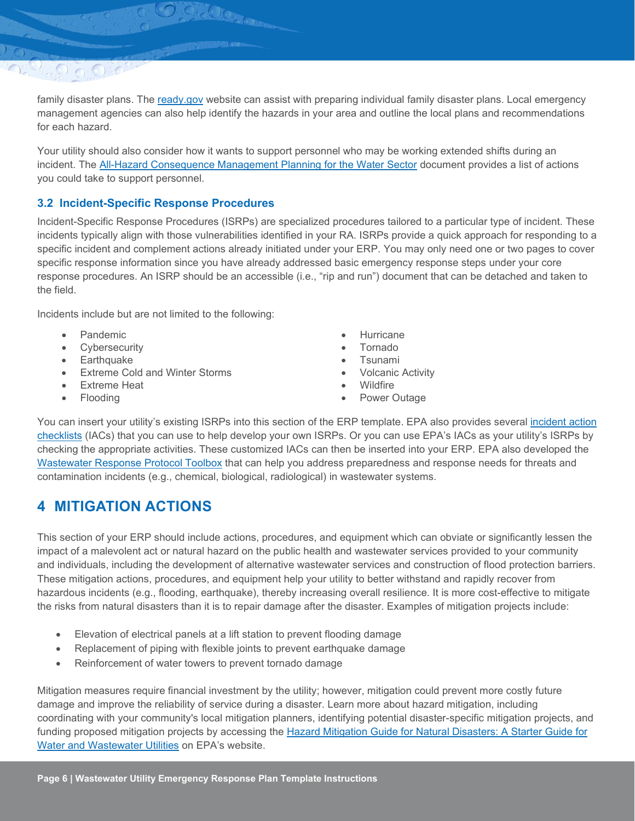family disaster plans. The [ready.gov](https://www.ready.gov/make-a-plan) website can assist with preparing individual family disaster plans. Local emergency management agencies can also help identify the hazards in your area and outline the local plans and recommendations for each hazard.

The Clergy

Your utility should also consider how it wants to support personnel who may be working extended shifts during an incident. The [All-Hazard Consequence Management Planning for the](https://asdwasecurity.files.wordpress.com/2014/03/all-hazard-cmp_final.pdf) Water Sector document provides a list of actions you could take to support personnel.

### <span id="page-9-0"></span>**3.2 Incident-Specific Response Procedures**

Incident-Specific Response Procedures (ISRPs) are specialized procedures tailored to a particular type of incident. These incidents typically align with those vulnerabilities identified in your RA. ISRPs provide a quick approach for responding to a specific incident and complement actions already initiated under your ERP. You may only need one or two pages to cover specific response information since you have already addressed basic emergency response steps under your core response procedures. An ISRP should be an accessible (i.e., "rip and run") document that can be detached and taken to the field.

Incidents include but are not limited to the following:

• Pandemic

 $O$  a  $O$  to

- **Cybersecurity**
- Earthquake
- Extreme Cold and Winter Storms
- **Extreme Heat**
- Flooding
- Hurricane
- Tornado
- Tsunami
- Volcanic Activity
- **Wildfire**
- Power Outage

You can insert your utility's existing ISRPs into this section of the ERP template. EPA also provides several incident action [checklists](https://www.epa.gov/waterutilityresponse/incident-action-checklists-water-utilities) (IACs) that you can use to help develop your own ISRPs. Or you can use EPA's IACs as your utility's ISRPs by checking the appropriate activities. These customized IACs can then be inserted into your ERP. EPA also developed the [Wastewater Response Protocol Toolbox](https://www.epa.gov/waterutilityresponse/drinking-water-and-wastewater-utility-response-protocol-toolbox) that can help you address preparedness and response needs for threats and contamination incidents (e.g., chemical, biological, radiological) in wastewater systems.

# <span id="page-9-1"></span>**4 MITIGATION ACTIONS**

This section of your ERP should include actions, procedures, and equipment which can obviate or significantly lessen the impact of a malevolent act or natural hazard on the public health and wastewater services provided to your community and individuals, including the development of alternative wastewater services and construction of flood protection barriers. These mitigation actions, procedures, and equipment help your utility to better withstand and rapidly recover from hazardous incidents (e.g., flooding, earthquake), thereby increasing overall resilience. It is more cost-effective to mitigate the risks from natural disasters than it is to repair damage after the disaster. Examples of mitigation projects include:

- Elevation of electrical panels at a lift station to prevent flooding damage
- Replacement of piping with flexible joints to prevent earthquake damage
- Reinforcement of water towers to prevent tornado damage

Mitigation measures require financial investment by the utility; however, mitigation could prevent more costly future damage and improve the reliability of service during a disaster. Learn more about hazard mitigation, including coordinating with your community's local mitigation planners, identifying potential disaster-specific mitigation projects, and funding proposed mitigation projects by accessing the [Hazard Mitigation Guide for Natural Disasters: A Starter Guide for](https://www.epa.gov/waterutilityresponse/hazard-mitigation-natural-disasters)  [Water and Wastewater Utilities](https://www.epa.gov/waterutilityresponse/hazard-mitigation-natural-disasters) on EPA's website.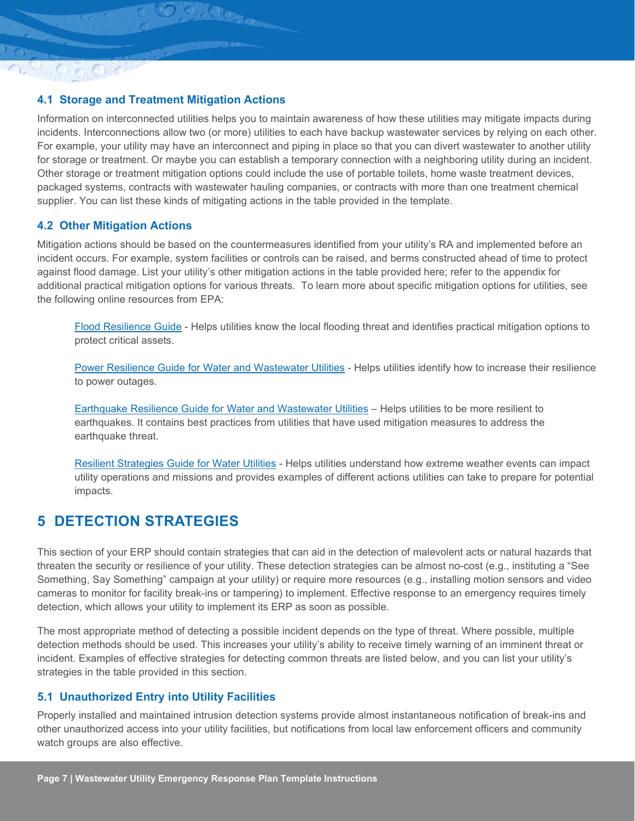## <span id="page-10-0"></span>**4.1 Storage and Treatment Mitigation Actions**

TOO CALL

Information on interconnected utilities helps you to maintain awareness of how these utilities may mitigate impacts during incidents. Interconnections allow two (or more) utilities to each have backup wastewater services by relying on each other. For example, your utility may have an interconnect and piping in place so that you can divert wastewater to another utility for storage or treatment. Or maybe you can establish a temporary connection with a neighboring utility during an incident. Other storage or treatment mitigation options could include the use of portable toilets, home waste treatment devices, packaged systems, contracts with wastewater hauling companies, or contracts with more than one treatment chemical supplier. You can list these kinds of mitigating actions in the table provided in the template.

### <span id="page-10-1"></span>**4.2 Other Mitigation Actions**

 $20000$ 

Mitigation actions should be based on the countermeasures identified from your utility's RA and implemented before an incident occurs. For example, system facilities or controls can be raised, and berms constructed ahead of time to protect against flood damage. List your utility's other mitigation actions in the table provided here; refer to the appendix for additional practical mitigation options for various threats. To learn more about specific mitigation options for utilities, see the following online resources from EPA:

[Flood Resilience Guide](https://www.epa.gov/waterutilityresponse/flood-resilience-basic-guide-water-and-wastewater-utilities) - Helps utilities know the local flooding threat and identifies practical mitigation options to protect critical assets.

[Power Resilience Guide for Water and Wastewater Utilities](https://www.epa.gov/communitywaterresilience/power-resilience-guide-water-and-wastewater-utilities) - Helps utilities identify how to increase their resilience to power outages.

[Earthquake Resilience Guide for Water and Wastewater Utilities](https://www.epa.gov/waterutilityresponse/earthquake-resilience-water-and-wastewater-utilities) – Helps utilities to be more resilient to earthquakes. It contains best practices from utilities that have used mitigation measures to address the earthquake threat.

[Resilient Strategies Guide for Water Utilities](https://www.epa.gov/crwu/resilient-strategies-guide-water-utilities#/) - Helps utilities understand how extreme weather events can impact utility operations and missions and provides examples of different actions utilities can take to prepare for potential impacts.

# <span id="page-10-2"></span>**5 DETECTION STRATEGIES**

This section of your ERP should contain strategies that can aid in the detection of malevolent acts or natural hazards that threaten the security or resilience of your utility. These detection strategies can be almost no-cost (e.g., instituting a "See Something, Say Something" campaign at your utility) or require more resources (e.g., installing motion sensors and video cameras to monitor for facility break-ins or tampering) to implement. Effective response to an emergency requires timely detection, which allows your utility to implement its ERP as soon as possible.

The most appropriate method of detecting a possible incident depends on the type of threat. Where possible, multiple detection methods should be used. This increases your utility's ability to receive timely warning of an imminent threat or incident. Examples of effective strategies for detecting common threats are listed below, and you can list your utility's strategies in the table provided in this section.

### <span id="page-10-3"></span>**5.1 Unauthorized Entry into Utility Facilities**

Properly installed and maintained intrusion detection systems provide almost instantaneous notification of break-ins and other unauthorized access into your utility facilities, but notifications from local law enforcement officers and community watch groups are also effective.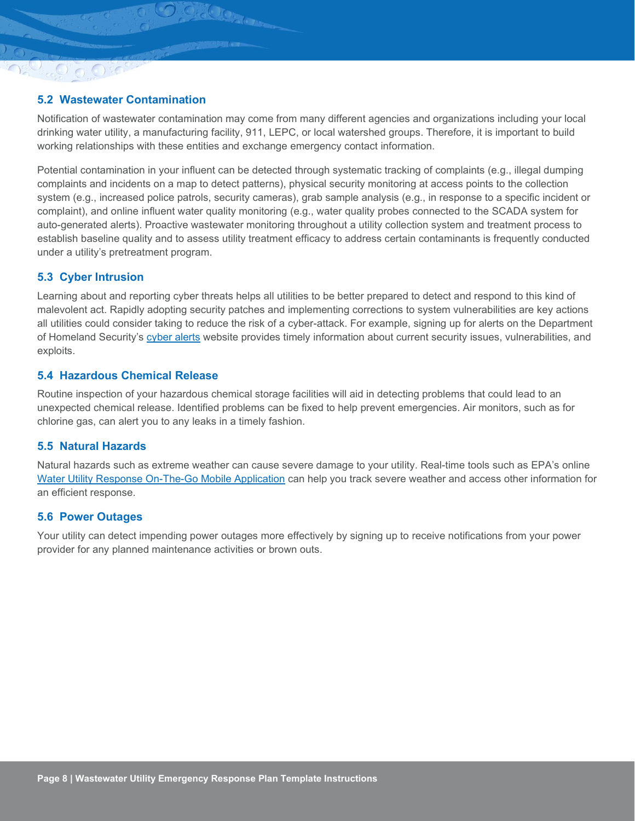# <span id="page-11-0"></span>**5.2 Wastewater Contamination**

 $O \cap C$ 

Notification of wastewater contamination may come from many different agencies and organizations including your local drinking water utility, a manufacturing facility, 911, LEPC, or local watershed groups. Therefore, it is important to build working relationships with these entities and exchange emergency contact information.

aOGA T

Potential contamination in your influent can be detected through systematic tracking of complaints (e.g., illegal dumping complaints and incidents on a map to detect patterns), physical security monitoring at access points to the collection system (e.g., increased police patrols, security cameras), grab sample analysis (e.g., in response to a specific incident or complaint), and online influent water quality monitoring (e.g., water quality probes connected to the SCADA system for auto-generated alerts). Proactive wastewater monitoring throughout a utility collection system and treatment process to establish baseline quality and to assess utility treatment efficacy to address certain contaminants is frequently conducted under a utility's pretreatment program.

### <span id="page-11-1"></span>**5.3 Cyber Intrusion**

Learning about and reporting cyber threats helps all utilities to be better prepared to detect and respond to this kind of malevolent act. Rapidly adopting security patches and implementing corrections to system vulnerabilities are key actions all utilities could consider taking to reduce the risk of a cyber-attack. For example, signing up for alerts on the Department of Homeland Security's [cyber alerts](https://www.us-cert.gov/ncas/alerts) website provides timely information about current security issues, vulnerabilities, and exploits.

### <span id="page-11-2"></span>**5.4 Hazardous Chemical Release**

Routine inspection of your hazardous chemical storage facilities will aid in detecting problems that could lead to an unexpected chemical release. Identified problems can be fixed to help prevent emergencies. Air monitors, such as for chlorine gas, can alert you to any leaks in a timely fashion.

### <span id="page-11-3"></span>**5.5 Natural Hazards**

Natural hazards such as extreme weather can cause severe damage to your utility. Real-time tools such as EPA's online [Water Utility Response On-The-Go Mobile Application](https://www.epa.gov/waterutilityresponse/water-utility-response-go-mobile-application-and-website) can help you track severe weather and access other information for an efficient response.

### <span id="page-11-4"></span>**5.6 Power Outages**

Your utility can detect impending power outages more effectively by signing up to receive notifications from your power provider for any planned maintenance activities or brown outs.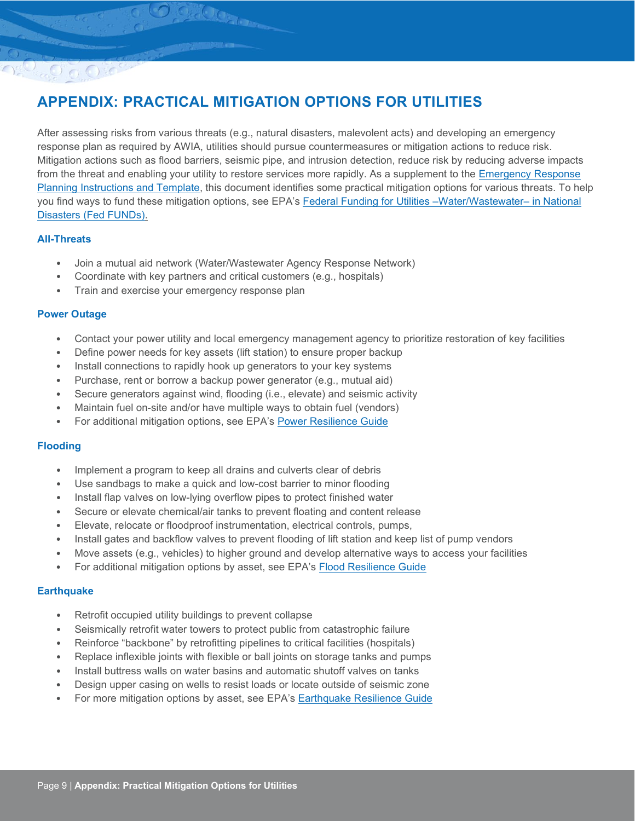# <span id="page-12-0"></span>**APPENDIX: PRACTICAL MITIGATION OPTIONS FOR UTILITIES**

After assessing risks from various threats (e.g., natural disasters, malevolent acts) and developing an emergency response plan as required by AWIA, utilities should pursue countermeasures or mitigation actions to reduce risk. Mitigation actions such as flood barriers, seismic pipe, and intrusion detection, reduce risk by reducing adverse impacts from the threat and enabling your utility to restore services more rapidly. As a supplement to the [Emergency Response](https://www.epa.gov/waterutilityresponse/develop-or-update-drinking-water-utility-emergency-response-plan)  [Planning Instructions and Template,](https://www.epa.gov/waterutilityresponse/develop-or-update-drinking-water-utility-emergency-response-plan) this document identifies some practical mitigation options for various threats. To help you find ways to fund these mitigation options, see EPA's [Federal Funding for Utilities –Water/Wastewater–](https://www.epa.gov/fedfunds) in National [Disasters \(Fed FUNDs\).](https://www.epa.gov/fedfunds)

### **All-Threats**

 $\circ$  o c

- Join a mutual aid network (Water/Wastewater Agency Response Network)
- Coordinate with key partners and critical customers (e.g., hospitals)

OrdOom

Train and exercise your emergency response plan

### **Power Outage**

- Contact your power utility and local emergency management agency to prioritize restoration of key facilities
- Define power needs for key assets (lift station) to ensure proper backup
- Install connections to rapidly hook up generators to your key systems
- Purchase, rent or borrow a backup power generator (e.g., mutual aid)
- Secure generators against wind, flooding (i.e., elevate) and seismic activity
- Maintain fuel on-site and/or have multiple ways to obtain fuel (vendors)
- For additional mitigation options, see EPA's [Power Resilience Guide](https://www.epa.gov/communitywaterresilience/increase-power-resilience-your-water-utility)

### **Flooding**

- Implement a program to keep all drains and culverts clear of debris
- Use sandbags to make a quick and low-cost barrier to minor flooding
- Install flap valves on low-lying overflow pipes to protect finished water
- Secure or elevate chemical/air tanks to prevent floating and content release
- Elevate, relocate or floodproof instrumentation, electrical controls, pumps,
- Install gates and backflow valves to prevent flooding of lift station and keep list of pump vendors
- Move assets (e.g., vehicles) to higher ground and develop alternative ways to access your facilities
- For additional mitigation options by asset, see EPA's [Flood Resilience Guide](https://www.epa.gov/waterutilityresponse/build-flood-resilience-your-water-utility)

### **Earthquake**

- Retrofit occupied utility buildings to prevent collapse
- Seismically retrofit water towers to protect public from catastrophic failure
- Reinforce "backbone" by retrofitting pipelines to critical facilities (hospitals)
- Replace inflexible joints with flexible or ball joints on storage tanks and pumps
- Install buttress walls on water basins and automatic shutoff valves on tanks
- Design upper casing on wells to resist loads or locate outside of seismic zone
- For more mitigation options by asset, see EPA's [Earthquake Resilience Guide](https://www.epa.gov/waterutilityresponse/earthquake-resilience-water-and-wastewater-utilities)